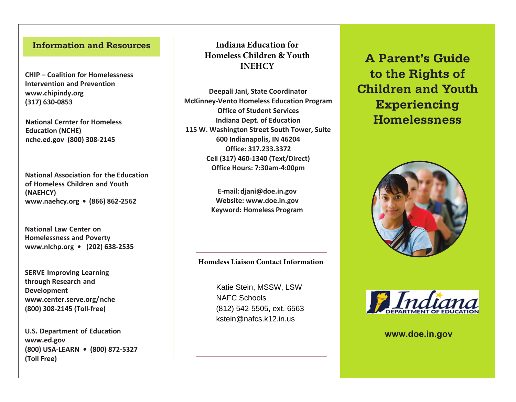## **Information and Resources**

**CHIP – Coalition for Homelessness Intervention and Prevention www.chipindy.org (317) 630-0853**

**National Cernter for Homeless Education (NCHE) nche.ed.gov (800) 308-2145**

**National Association for the Education of Homeless Children and Youth (NAEHCY) www.naehcy.org • (866) 862-2562**

**National Law Center on Homelessness and Poverty www.nlchp.org • (202) 638-2535**

**SERVE Improving Learning through Research and Development www.center.serve.org/nche (800) 308-2145 (Toll-free)**

**U.S. Department of Education www.ed.gov (800) USA-LEARN • (800) 872-5327 (Toll Free)**

**Indiana Education for Homeless Children & Youth INEHCY**

**Deepali Jani, State Coordinator McKinney-Vento Homeless Education Program Office of Student Services Indiana Dept. of Education 115 W. Washington Street South Tower, Suite 600 Indianapolis, IN 46204 Office: 317.233.3372 Cell (317) 460-1340 (Text/Direct) Office Hours: 7:30am-4:00pm**

> **E-mail: djani@doe.in.gov Website: www.doe.in.gov Keyword: Homeless Program**

### **Homeless Liaison Contact Information**

Katie Stein, MSSW, LSW NAFC Schools (812) 542-5505, ext. 6563 kstein@nafcs.k12.in.us

**A Parent's Guide to the Rights of Children and Youth Experiencing Homelessness**





**www.doe.in.gov**